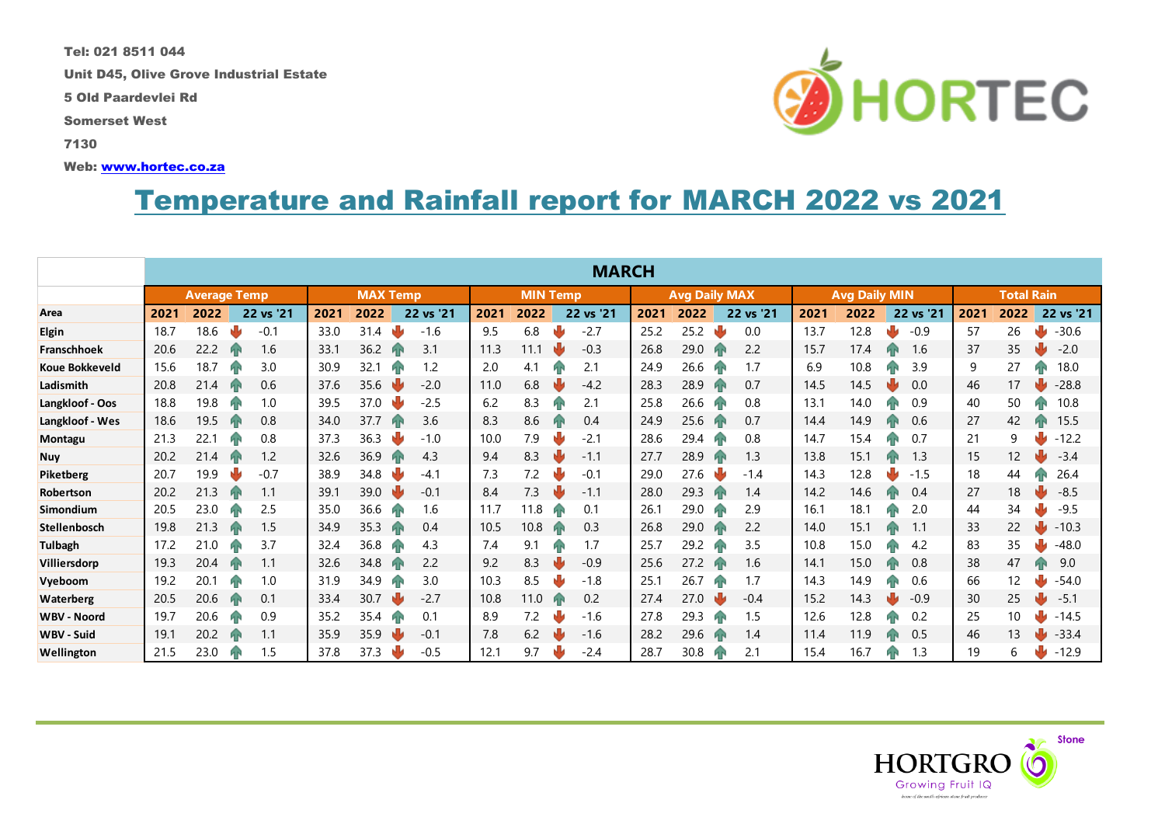Tel: 021 8511 044

Unit D45, Olive Grove Industrial Estate

5 Old Paardevlei Rd

Somerset West

7130

Web: [www.hortec.co.za](http://www.hortec.co.za/)

## Temperature and Rainfall report for MARCH 2022 vs 2021

|                       | <b>MARCH</b>        |      |  |           |                 |      |    |           |                 |      |  |                      |      |      |                      |           |      |                   |  |           |      |      |  |           |
|-----------------------|---------------------|------|--|-----------|-----------------|------|----|-----------|-----------------|------|--|----------------------|------|------|----------------------|-----------|------|-------------------|--|-----------|------|------|--|-----------|
|                       | <b>Average Temp</b> |      |  |           | <b>MAX Temp</b> |      |    |           | <b>MIN Temp</b> |      |  | <b>Avg Daily MAX</b> |      |      | <b>Avg Daily MIN</b> |           |      | <b>Total Rain</b> |  |           |      |      |  |           |
| Area                  | 2021                | 2022 |  | 22 vs '21 | 2021            | 2022 |    | 22 vs '21 | 2021            | 2022 |  | 22 vs '21            | 2021 | 2022 |                      | 22 vs '21 | 2021 | 2022              |  | 22 vs '21 | 2021 | 2022 |  | 22 vs '21 |
| <b>Elgin</b>          | 18.7                | 18.6 |  | $-0.1$    | 33.0            | 31.4 | Ŵ  | $-1.6$    | 9.5             | 6.8  |  | $-2.7$               | 25.2 | 25.2 |                      | 0.0       | 13.7 | 12.8              |  | $-0.9$    | 57   | 26   |  | $-30.6$   |
| Franschhoek           | 20.6                | 22.2 |  | 1.6       | 33.1            | 36.2 |    | 3.1       | 11.3            | 11.1 |  | $-0.3$               | 26.8 | 29.0 | Йг                   | 2.2       | 15.7 | 17.4              |  | 1.6       | 37   | 35   |  | $-2.0$    |
| <b>Koue Bokkeveld</b> | 15.6                | 18.7 |  | 3.0       | 30.9            | 32.1 | Й۴ | 1.2       | 2.0             | 4.1  |  | 2.1                  | 24.9 | 26.6 |                      | 1.7       | 6.9  | 10.8              |  | 3.9       | 9    | 27   |  | 18.0      |
| Ladismith             | 20.8                | 21.4 |  | 0.6       | 37.6            | 35.6 | NŊ | $-2.0$    | 11.0            | 6.8  |  | $-4.2$               | 28.3 | 28.9 | Й۴                   | 0.7       | 14.5 | 14.5              |  | 0.0       | 46   | 17   |  | $-28.8$   |
| Langkloof - Oos       | 18.8                | 19.8 |  | 1.0       | 39.5            | 37.0 |    | $-2.5$    | 6.2             | 8.3  |  | 2.1                  | 25.8 | 26.6 |                      | 0.8       | 13.1 | 14.0              |  | 0.9       | 40   | 50   |  | 10.8      |
| Langkloof - Wes       | 18.6                | 19.5 |  | 0.8       | 34.0            | 37.7 | ЙN | 3.6       | 8.3             | 8.6  |  | 0.4                  | 24.9 | 25.6 | Йñ                   | 0.7       | 14.4 | 14.9              |  | 0.6       | 27   | 42   |  | 15.5      |
| Montagu               | 21.3                | 22.1 |  | 0.8       | 37.3            | 36.3 |    | $-1.0$    | 10.0            | 7.9  |  | $-2.1$               | 28.6 | 29.4 | Иг                   | 0.8       | 14.7 | 15.4              |  | 0.7       | 21   | 9    |  | $-12.2$   |
| <b>Nuy</b>            | 20.2                | 21.4 |  | 1.2       | 32.6            | 36.9 |    | 4.3       | 9.4             | 8.3  |  | $-1.1$               | 27.7 | 28.9 |                      | 1.3       | 13.8 | 15.1              |  | 1.3       | 15   | 12   |  | $-3.4$    |
| Piketberg             | 20.7                | 19.9 |  | $-0.7$    | 38.9            | 34.8 |    | $-4.1$    | 7.3             | 7.2  |  | $-0.1$               | 29.0 | 27.6 |                      | $-1.4$    | 14.3 | 12.8              |  | $-1.5$    | 18   | 44   |  | 26.4      |
| Robertson             | 20.2                | 21.3 |  | 1.1       | 39.1            | 39.0 |    | $-0.1$    | 8.4             | 7.3  |  | $-1.1$               | 28.0 | 29.3 | Иг                   | 1.4       | 14.2 | 14.6              |  | 0.4       | 27   | 18   |  | $-8.5$    |
| Simondium             | 20.5                | 23.0 |  | 2.5       | 35.0            | 36.6 |    | 1.6       | 11.7            | 11.8 |  | 0.1                  | 26.1 | 29.0 |                      | 2.9       | 16.1 | 18.1              |  | 2.0       | 44   | 34   |  | $-9.5$    |
| <b>Stellenbosch</b>   | 19.8                | 21.3 |  | 1.5       | 34.9            | 35.3 |    | 0.4       | 10.5            | 10.8 |  | 0.3                  | 26.8 | 29.0 | Й۴                   | 2.2       | 14.0 | 15.1              |  | 1.1       | 33   | 22   |  | $-10.3$   |
| <b>Tulbagh</b>        | 17.2                | 21.0 |  | 3.7       | 32.4            | 36.8 |    | 4.3       | 7.4             | 9.1  |  | 1.7                  | 25.7 | 29.2 |                      | 3.5       | 10.8 | 15.0              |  | 4.2       | 83   | 35   |  | $-48.0$   |
| Villiersdorp          | 19.3                | 20.4 |  | 1.1       | 32.6            | 34.8 |    | 2.2       | 9.2             | 8.3  |  | $-0.9$               | 25.6 | 27.2 | ЙΝ                   | 1.6       | 14.1 | 15.0              |  | 0.8       | 38   | 47   |  | 9.0       |
| Vyeboom               | 19.2                | 20.1 |  | 1.0       | 31.9            | 34.9 | ИP | 3.0       | 10.3            | 8.5  |  | $-1.8$               | 25.1 | 26.7 | ЙΓ                   | 1.7       | 14.3 | 14.9              |  | 0.6       | 66   | 12   |  | $-54.0$   |
| <b>Waterberg</b>      | 20.5                | 20.6 |  | 0.1       | 33.4            | 30.7 |    | $-2.7$    | 10.8            | 11.0 |  | 0.2                  | 27.4 | 27.0 |                      | $-0.4$    | 15.2 | 14.3              |  | $-0.9$    | 30   | 25   |  | $-5.1$    |
| <b>WBV - Noord</b>    | 19.7                | 20.6 |  | 0.9       | 35.2            | 35.4 | ИP | 0.1       | 8.9             | 7.2  |  | $-1.6$               | 27.8 | 29.3 | Иг                   | 1.5       | 12.6 | 12.8              |  | 0.2       | 25   | 10   |  | $-14.5$   |
| <b>WBV - Suid</b>     | 19.1                | 20.2 |  | 1.1       | 35.9            | 35.9 |    | $-0.1$    | 7.8             | 6.2  |  | $-1.6$               | 28.2 | 29.6 | Йř                   | 1.4       | 11.4 | 11.9              |  | 0.5       | 46   | 13   |  | $-33.4$   |
| Wellington            | 21.5                | 23.0 |  | 1.5       | 37.8            | 37.3 |    | $-0.5$    | 12.1            | 9.7  |  | $-2.4$               | 28.7 | 30.8 | Иг                   | 2.1       | 15.4 | 16.7              |  | 1.3       | 19   | 6    |  | $-12.9$   |



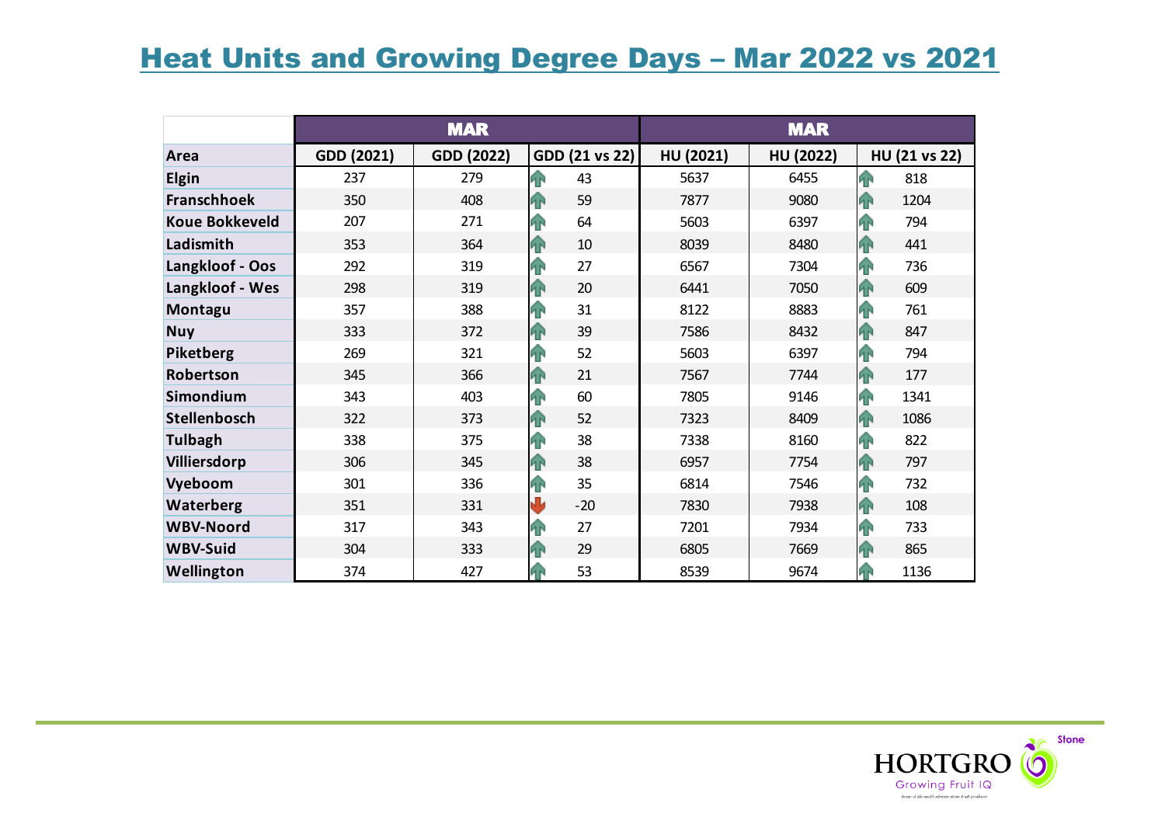## Heat Units and Growing Degree Days – Mar 2022 vs 2021

|                       |            | <b>MAR</b> |                 | <b>MAR</b> |           |                       |  |  |  |
|-----------------------|------------|------------|-----------------|------------|-----------|-----------------------|--|--|--|
| Area                  | GDD (2021) | GDD (2022) | GDD (21 vs 22)  | HU (2021)  | HU (2022) | HU (21 vs 22)         |  |  |  |
| <b>Elgin</b>          | 237        | 279        | 个<br>43         | 5637       | 6455      | 15<br>818             |  |  |  |
| <b>Franschhoek</b>    | 350        | 408        | 59<br>42        | 7877       | 9080      | 1204<br>$\mathbf{P}$  |  |  |  |
| <b>Koue Bokkeveld</b> | 207        | 271        | 64<br><b>FR</b> | 5603       | 6397      | 794<br><b>FR</b>      |  |  |  |
| Ladismith             | 353        | 364        | 10<br>42        | 8039       | 8480      | 441<br>$\mathbf{P}$   |  |  |  |
| Langkloof - Oos       | 292        | 319        | <b>FR</b><br>27 | 6567       | 7304      | 736<br>42             |  |  |  |
| Langkloof - Wes       | 298        | 319        | 20<br>4         | 6441       | 7050      | 609<br>P <sub>P</sub> |  |  |  |
| Montagu               | 357        | 388        | 31<br>42        | 8122       | 8883      | 761<br><b>FR</b>      |  |  |  |
| <b>Nuy</b>            | 333        | 372        | 39<br>4         | 7586       | 8432      | 847<br>42             |  |  |  |
| Piketberg             | 269        | 321        | 52<br>42        | 5603       | 6397      | 42<br>794             |  |  |  |
| Robertson             | 345        | 366        | 21<br>4         | 7567       | 7744      | 177<br>42             |  |  |  |
| Simondium             | 343        | 403        | 60<br>42        | 7805       | 9146      | 1341<br><b>FR</b>     |  |  |  |
| Stellenbosch          | 322        | 373        | 52<br><b>FR</b> | 7323       | 8409      | 1086<br><b>AN</b>     |  |  |  |
| <b>Tulbagh</b>        | 338        | 375        | 38<br>42        | 7338       | 8160      | 822<br>48             |  |  |  |
| Villiersdorp          | 306        | 345        | 38<br>42        | 6957       | 7754      | <b>FR</b><br>797      |  |  |  |
| Vyeboom               | 301        | 336        | 35<br>42        | 6814       | 7546      | 732<br><b>FR</b>      |  |  |  |
| Waterberg             | 351        | 331        | ₩<br>$-20$      | 7830       | 7938      | <b>A</b><br>108       |  |  |  |
| <b>WBV-Noord</b>      | 317        | 343        | 27<br>42        | 7201       | 7934      | 733<br>48             |  |  |  |
| <b>WBV-Suid</b>       | 304        | 333        | 29<br>42        | 6805       | 7669      | 865<br><b>AN</b>      |  |  |  |
| Wellington            | 374        | 427        | 53<br>ЯŘ        | 8539       | 9674      | 1136<br>4P            |  |  |  |